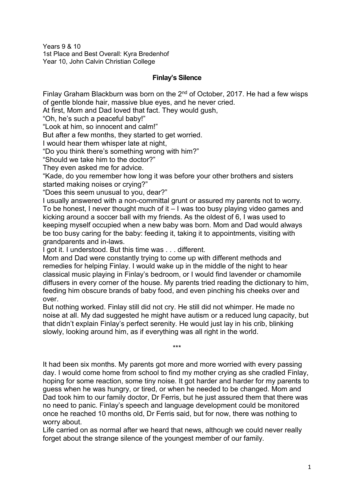Years 9 & 10 1st Place and Best Overall: Kyra Bredenhof Year 10, John Calvin Christian College

## **Finlay's Silence**

Finlay Graham Blackburn was born on the  $2<sup>nd</sup>$  of October, 2017. He had a few wisps of gentle blonde hair, massive blue eyes, and he never cried.

At first, Mom and Dad loved that fact. They would gush,

"Oh, he's such a peaceful baby!"

"Look at him, so innocent and calm!"

But after a few months, they started to get worried.

I would hear them whisper late at night,

"Do you think there's something wrong with him?"

"Should we take him to the doctor?"

They even asked me for advice.

"Kade, do you remember how long it was before your other brothers and sisters started making noises or crying?"

"Does this seem unusual to you, dear?"

I usually answered with a non-committal grunt or assured my parents not to worry. To be honest, I never thought much of it – I was too busy playing video games and kicking around a soccer ball with my friends. As the oldest of 6, I was used to keeping myself occupied when a new baby was born. Mom and Dad would always be too busy caring for the baby: feeding it, taking it to appointments, visiting with grandparents and in-laws.

I got it. I understood. But this time was . . . different.

Mom and Dad were constantly trying to come up with different methods and remedies for helping Finlay. I would wake up in the middle of the night to hear classical music playing in Finlay's bedroom, or I would find lavender or chamomile diffusers in every corner of the house. My parents tried reading the dictionary to him, feeding him obscure brands of baby food, and even pinching his cheeks over and over.

But nothing worked. Finlay still did not cry. He still did not whimper. He made no noise at all. My dad suggested he might have autism or a reduced lung capacity, but that didn't explain Finlay's perfect serenity. He would just lay in his crib, blinking slowly, looking around him, as if everything was all right in the world.

\*\*\*

It had been six months. My parents got more and more worried with every passing day. I would come home from school to find my mother crying as she cradled Finlay, hoping for some reaction, some tiny noise. It got harder and harder for my parents to guess when he was hungry, or tired, or when he needed to be changed. Mom and Dad took him to our family doctor, Dr Ferris, but he just assured them that there was no need to panic. Finlay's speech and language development could be monitored once he reached 10 months old, Dr Ferris said, but for now, there was nothing to worry about.

Life carried on as normal after we heard that news, although we could never really forget about the strange silence of the youngest member of our family.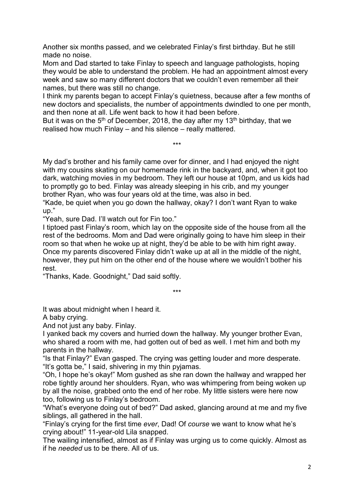Another six months passed, and we celebrated Finlay's first birthday. But he still made no noise.

Mom and Dad started to take Finlay to speech and language pathologists, hoping they would be able to understand the problem. He had an appointment almost every week and saw so many different doctors that we couldn't even remember all their names, but there was still no change.

I think my parents began to accept Finlay's quietness, because after a few months of new doctors and specialists, the number of appointments dwindled to one per month, and then none at all. Life went back to how it had been before.

But it was on the  $5<sup>th</sup>$  of December, 2018, the day after my 13<sup>th</sup> birthday, that we realised how much Finlay – and his silence – really mattered.

My dad's brother and his family came over for dinner, and I had enjoyed the night with my cousins skating on our homemade rink in the backyard, and, when it got too dark, watching movies in my bedroom. They left our house at 10pm, and us kids had to promptly go to bed. Finlay was already sleeping in his crib, and my younger brother Ryan, who was four years old at the time, was also in bed.

\*\*\*

"Kade, be quiet when you go down the hallway, okay? I don't want Ryan to wake up."

"Yeah, sure Dad. I'll watch out for Fin too."

I tiptoed past Finlay's room, which lay on the opposite side of the house from all the rest of the bedrooms. Mom and Dad were originally going to have him sleep in their room so that when he woke up at night, they'd be able to be with him right away. Once my parents discovered Finlay didn't wake up at all in the middle of the night, however, they put him on the other end of the house where we wouldn't bother his rest.

"Thanks, Kade. Goodnight," Dad said softly.

\*\*\*

It was about midnight when I heard it.

A baby crying.

And not just any baby. Finlay.

I yanked back my covers and hurried down the hallway. My younger brother Evan, who shared a room with me, had gotten out of bed as well. I met him and both my parents in the hallway.

"Is that Finlay?" Evan gasped. The crying was getting louder and more desperate. "It's gotta be," I said, shivering in my thin pyjamas.

"Oh, I hope he's okay!" Mom gushed as she ran down the hallway and wrapped her robe tightly around her shoulders. Ryan, who was whimpering from being woken up by all the noise, grabbed onto the end of her robe. My little sisters were here now too, following us to Finlay's bedroom.

"What's everyone doing out of bed?" Dad asked, glancing around at me and my five siblings, all gathered in the hall.

"Finlay's crying for the first time *ever*, Dad! Of *course* we want to know what he's crying about!" 11-year-old Lila snapped.

The wailing intensified, almost as if Finlay was urging us to come quickly. Almost as if he *needed* us to be there. All of us.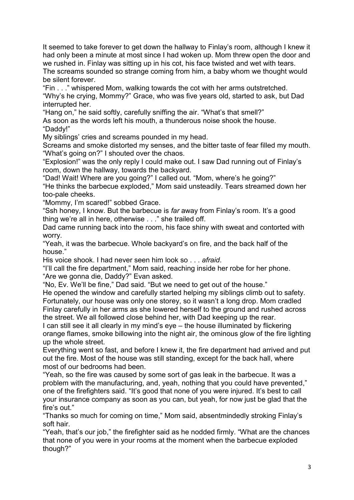It seemed to take forever to get down the hallway to Finlay's room, although I knew it had only been a minute at most since I had woken up. Mom threw open the door and we rushed in. Finlay was sitting up in his cot, his face twisted and wet with tears. The screams sounded so strange coming from him, a baby whom we thought would be silent forever.

"Fin . . ." whispered Mom, walking towards the cot with her arms outstretched. "Why's he crying, Mommy?" Grace, who was five years old, started to ask, but Dad interrupted her.

"Hang on," he said softly, carefully sniffing the air. "What's that smell?"

As soon as the words left his mouth, a thunderous noise shook the house. "Daddy!"

My siblings' cries and screams pounded in my head.

Screams and smoke distorted my senses, and the bitter taste of fear filled my mouth. "What's going on?" I shouted over the chaos.

"Explosion!" was the only reply I could make out. I saw Dad running out of Finlay's room, down the hallway, towards the backyard.

"Dad! Wait! Where are you going?" I called out. "Mom, where's he going?" "He thinks the barbecue exploded," Mom said unsteadily. Tears streamed down her too-pale cheeks.

"Mommy, I'm scared!" sobbed Grace.

"Ssh honey, I know. But the barbecue is *far* away from Finlay's room. It's a good thing we're all in here, otherwise . . ." she trailed off.

Dad came running back into the room, his face shiny with sweat and contorted with worry.

"Yeah, it was the barbecue. Whole backyard's on fire, and the back half of the house."

His voice shook. I had never seen him look so . . . *afraid*.

"I'll call the fire department," Mom said, reaching inside her robe for her phone. "Are we gonna die, Daddy?" Evan asked.

"No, Ev. We'll be fine," Dad said. "But we need to get out of the house."

He opened the window and carefully started helping my siblings climb out to safety. Fortunately, our house was only one storey, so it wasn't a long drop. Mom cradled Finlay carefully in her arms as she lowered herself to the ground and rushed across the street. We all followed close behind her, with Dad keeping up the rear.

I can still see it all clearly in my mind's eye – the house illuminated by flickering orange flames, smoke billowing into the night air, the ominous glow of the fire lighting up the whole street.

Everything went so fast, and before I knew it, the fire department had arrived and put out the fire. Most of the house was still standing, except for the back hall, where most of our bedrooms had been.

"Yeah, so the fire was caused by some sort of gas leak in the barbecue. It was a problem with the manufacturing, and, yeah, nothing that you could have prevented," one of the firefighters said. "It's good that none of you were injured. It's best to call your insurance company as soon as you can, but yeah, for now just be glad that the fire's out."

"Thanks so much for coming on time," Mom said, absentmindedly stroking Finlay's soft hair.

"Yeah, that's our job," the firefighter said as he nodded firmly. "What are the chances that none of you were in your rooms at the moment when the barbecue exploded though?"